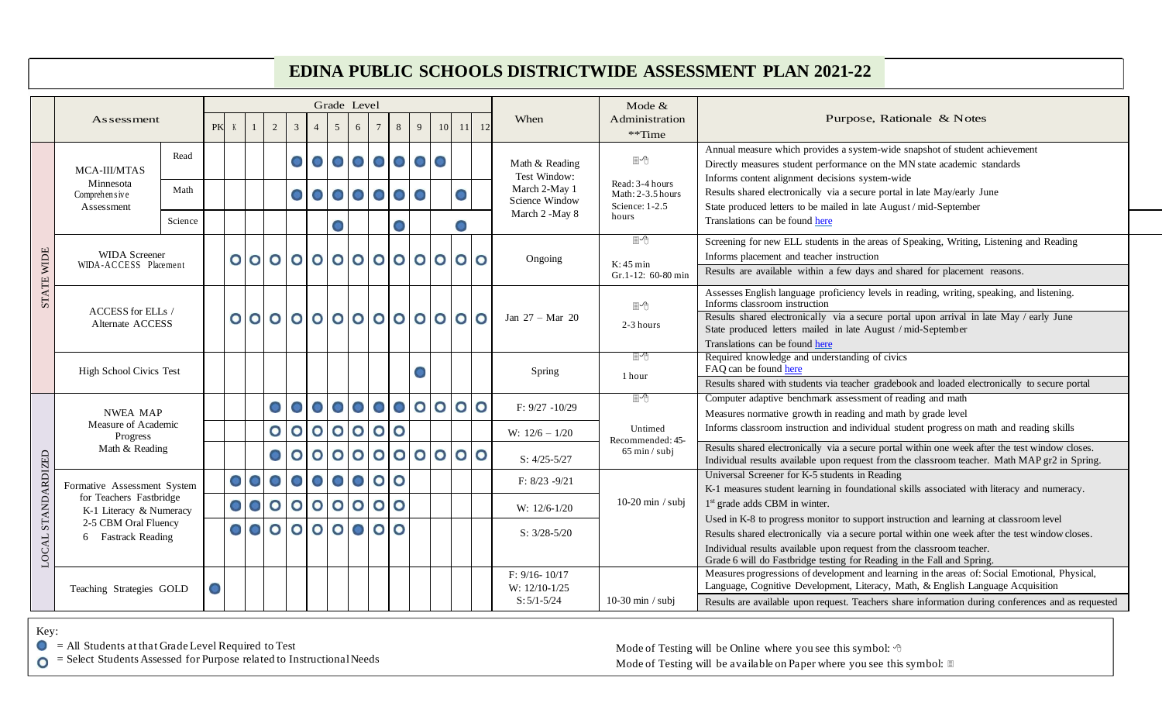## **EDINA PUBLIC SCHOOLS DISTRICTWIDE ASSESSMENT PLAN 2021-22**

|                    |                                                                                                                                 |         |  |           |                 |                |                               | Grade Level           |                     |                                   |                         |                                       |                                                                    |                         | Mode $&$                       |                                                                                                                             |                                                                                                                                                 |
|--------------------|---------------------------------------------------------------------------------------------------------------------------------|---------|--|-----------|-----------------|----------------|-------------------------------|-----------------------|---------------------|-----------------------------------|-------------------------|---------------------------------------|--------------------------------------------------------------------|-------------------------|--------------------------------|-----------------------------------------------------------------------------------------------------------------------------|-------------------------------------------------------------------------------------------------------------------------------------------------|
|                    | <b>As sessment</b>                                                                                                              |         |  | PK K      |                 | $\overline{2}$ | $\overline{3}$                | $\overline{4}$        | 5 <sup>5</sup><br>6 | $8\phantom{.}$<br>$7\phantom{.0}$ | 9                       | 10 <sup>1</sup>                       | 11                                                                 | <sup>12</sup>           | When                           | Administration                                                                                                              | Purpose, Rationale & Notes                                                                                                                      |
|                    |                                                                                                                                 |         |  |           |                 |                |                               |                       |                     |                                   |                         |                                       |                                                                    |                         |                                | **Time                                                                                                                      |                                                                                                                                                 |
| STATE WIDE         | MCA-III/MTAS<br>Minnesota<br>Comprehensive<br>Assessment                                                                        | Read    |  |           |                 |                |                               |                       | 00000000            |                                   |                         |                                       |                                                                    |                         |                                | ■←                                                                                                                          | Annual measure which provides a system-wide snapshot of student achievement                                                                     |
|                    |                                                                                                                                 |         |  |           |                 |                |                               |                       |                     |                                   |                         |                                       |                                                                    |                         | Math & Reading<br>Test Window: |                                                                                                                             | Directly measures student performance on the MN state academic standards                                                                        |
|                    |                                                                                                                                 | Math    |  | 0000000   |                 |                |                               |                       |                     |                                   |                         |                                       |                                                                    | March 2-May 1           | Read: 3-4 hours                | Informs content alignment decisions system-wide<br>Results shared electronically via a secure portal in late May/early June |                                                                                                                                                 |
|                    |                                                                                                                                 |         |  |           |                 |                |                               |                       |                     |                                   | Science Window          | Math: 2-3.5 hours<br>Science: $1-2.5$ | State produced letters to be mailed in late August / mid-September |                         |                                |                                                                                                                             |                                                                                                                                                 |
|                    |                                                                                                                                 | Science |  |           |                 |                |                               |                       |                     |                                   |                         |                                       |                                                                    |                         | March 2 -May 8                 | hours<br>Translations can be found here                                                                                     |                                                                                                                                                 |
|                    |                                                                                                                                 |         |  |           |                 |                |                               |                       | $\bullet$           |                                   |                         |                                       |                                                                    |                         |                                |                                                                                                                             |                                                                                                                                                 |
|                    | <b>WIDA</b> Screener<br>WIDA-ACCESS Placement                                                                                   |         |  |           |                 |                |                               |                       |                     |                                   |                         |                                       |                                                                    |                         |                                | $\mathbb{P}$                                                                                                                | Screening for new ELL students in the areas of Speaking, Writing, Listening and Reading                                                         |
|                    |                                                                                                                                 |         |  |           |                 |                |                               |                       | 00000000000000      |                                   |                         |                                       |                                                                    |                         | Ongoing                        | $K:45 \text{ min}$<br>$Gr.1-12: 60-80$ min                                                                                  | Informs placement and teacher instruction                                                                                                       |
|                    |                                                                                                                                 |         |  |           |                 |                |                               |                       |                     |                                   |                         |                                       |                                                                    |                         |                                |                                                                                                                             | Results are available within a few days and shared for placement reasons.                                                                       |
|                    |                                                                                                                                 |         |  |           |                 |                |                               |                       |                     |                                   |                         |                                       |                                                                    |                         |                                | 圖←                                                                                                                          | Assesses English language proficiency levels in reading, writing, speaking, and listening.<br>Informs classroom instruction                     |
|                    | ACCESS for ELLs /<br>Alternate ACCESS                                                                                           |         |  |           |                 |                |                               |                       | 00000000000000      |                                   |                         |                                       |                                                                    |                         | Jan $27 - Mar$ 20              | 2-3 hours                                                                                                                   | Results shared electronically via a secure portal upon arrival in late May / early June                                                         |
|                    |                                                                                                                                 |         |  |           |                 |                |                               |                       |                     |                                   |                         |                                       |                                                                    |                         |                                |                                                                                                                             | State produced letters mailed in late August / mid-September                                                                                    |
|                    |                                                                                                                                 |         |  |           |                 |                |                               |                       |                     |                                   |                         |                                       |                                                                    |                         |                                | 圖ゆ                                                                                                                          | Translations can be found here<br>Required knowledge and understanding of civics                                                                |
|                    | <b>High School Civics Test</b>                                                                                                  |         |  |           |                 | Spring         |                               | FAQ can be found here |                     |                                   |                         |                                       |                                                                    |                         |                                |                                                                                                                             |                                                                                                                                                 |
|                    |                                                                                                                                 |         |  |           |                 |                |                               |                       |                     |                                   |                         |                                       |                                                                    |                         |                                | 1 hour                                                                                                                      | Results shared with students via teacher gradebook and loaded electronically to secure portal                                                   |
| LOCAL STANDARDIZED | <b>NWEA MAP</b>                                                                                                                 |         |  |           |                 | $\bullet$      |                               |                       | 00000000            |                                   |                         |                                       |                                                                    | $\overline{\mathsf{O}}$ | $F: 9/27 - 10/29$              | ■←                                                                                                                          | Computer adaptive benchmark assessment of reading and math                                                                                      |
|                    |                                                                                                                                 |         |  |           |                 |                |                               |                       |                     |                                   |                         |                                       |                                                                    |                         |                                |                                                                                                                             | Measures normative growth in reading and math by grade level                                                                                    |
|                    | Measure of Academic<br>Progress<br>Math & Reading                                                                               |         |  |           |                 | $\mathbf{o}$   | $\circ$ $\circ$               |                       | 0000                |                                   |                         |                                       |                                                                    |                         | W: $12/6 - 1/20$               | Untimed<br>Recommended: 45-                                                                                                 | Informs classroom instruction and individual student progress on math and reading skills                                                        |
|                    |                                                                                                                                 |         |  |           |                 |                | $\overline{O}$ $\overline{O}$ |                       | 000                 |                                   | $\overline{\mathbf{O}}$ | $\bullet$                             |                                                                    | $\circ$                 |                                | $65 \text{ min} / \text{subj}$                                                                                              | Results shared electronically via a secure portal within one week after the test window closes.                                                 |
|                    |                                                                                                                                 |         |  |           |                 |                |                               |                       |                     |                                   |                         |                                       |                                                                    |                         | $S: 4/25 - 5/27$               |                                                                                                                             | Individual results available upon request from the classroom teacher. Math MAP gr2 in Spring.                                                   |
|                    | Formative Assessment System<br>for Teachers Fastbridge<br>K-1 Literacy & Numeracy<br>2-5 CBM Oral Fluency<br>6 Fastrack Reading |         |  | $\circ$   |                 | $\bullet$      |                               | $\circ$               | 0 0                 | $\overline{O}$ $\overline{O}$     |                         |                                       |                                                                    |                         | $F: 8/23 - 9/21$               | $10-20$ min / subj                                                                                                          | Universal Screener for K-5 students in Reading                                                                                                  |
|                    |                                                                                                                                 |         |  |           |                 |                |                               |                       |                     |                                   |                         |                                       |                                                                    |                         |                                |                                                                                                                             | K-1 measures student learning in foundational skills associated with literacy and numeracy.                                                     |
|                    |                                                                                                                                 |         |  |           | $\circ$         | $\bullet$      |                               |                       |                     |                                   |                         |                                       |                                                                    |                         | W: 12/6-1/20                   |                                                                                                                             | 1 <sup>st</sup> grade adds CBM in winter.                                                                                                       |
|                    |                                                                                                                                 |         |  |           | $\circ$ $\circ$ |                |                               |                       |                     | $\bullet$<br>$\mathbf O$          |                         |                                       |                                                                    |                         |                                |                                                                                                                             | Used in K-8 to progress monitor to support instruction and learning at classroom level                                                          |
|                    |                                                                                                                                 |         |  |           |                 |                |                               |                       |                     |                                   |                         |                                       |                                                                    |                         | $S: 3/28 - 5/20$               |                                                                                                                             | Results shared electronically via a secure portal within one week after the test window closes.                                                 |
|                    |                                                                                                                                 |         |  |           |                 |                |                               |                       |                     |                                   |                         |                                       |                                                                    |                         |                                |                                                                                                                             | Individual results available upon request from the classroom teacher.<br>Grade 6 will do Fastbridge testing for Reading in the Fall and Spring. |
|                    | Teaching Strategies GOLD                                                                                                        |         |  | $\bullet$ |                 |                |                               |                       |                     |                                   |                         |                                       |                                                                    | $F: 9/16 - 10/17$       |                                | Measures progressions of development and learning in the areas of: Social Emotional, Physical,                              |                                                                                                                                                 |
|                    |                                                                                                                                 |         |  |           |                 |                |                               |                       |                     |                                   |                         |                                       |                                                                    |                         | W: 12/10-1/25                  |                                                                                                                             | Language, Cognitive Development, Literacy, Math, & English Language Acquisition                                                                 |
|                    |                                                                                                                                 |         |  |           |                 |                |                               |                       |                     |                                   |                         |                                       |                                                                    |                         | $S: 5/1 - 5/24$                | $10-30$ min / subj                                                                                                          | Results are available upon request. Teachers share information during conferences and as requested                                              |

Key:

 $\bullet$  = All Students at that Grade Level Required to Test

 $\bullet$  = Select Students Assessed for Purpose related to Instructional Needs

Mode of Testing will be Online where you see this symbol:  $\Diamond$ Mode of Testing will be available on Paper where you see this symbol: